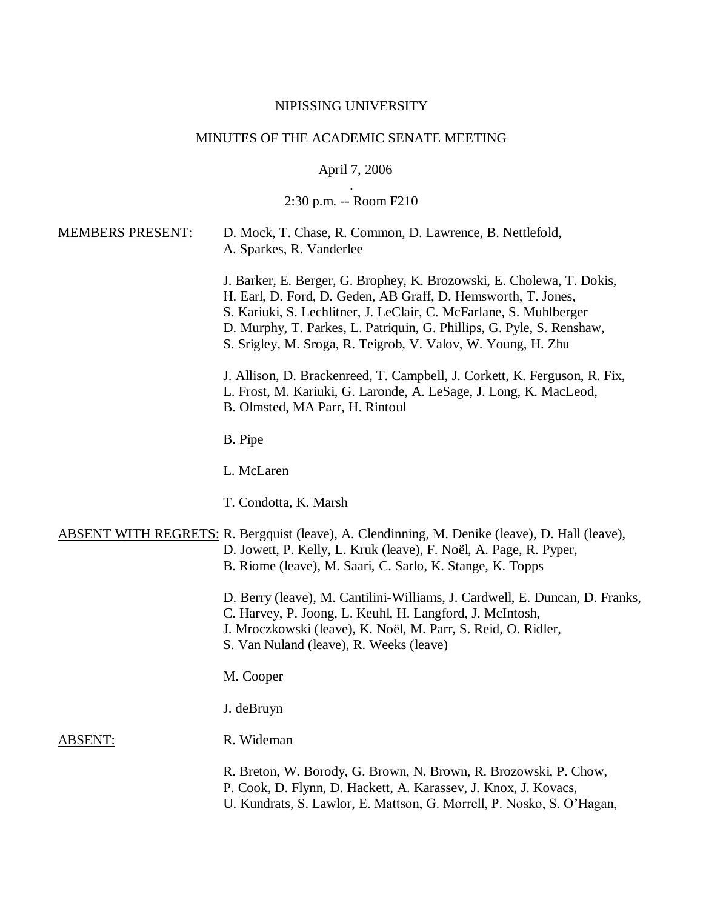## NIPISSING UNIVERSITY

# MINUTES OF THE ACADEMIC SENATE MEETING

## April 7, 2006

#### . 2:30 p.m. -- Room F210

| <b>MEMBERS PRESENT:</b> | D. Mock, T. Chase, R. Common, D. Lawrence, B. Nettlefold,<br>A. Sparkes, R. Vanderlee                                                                                                                                                                                                                                                                 |
|-------------------------|-------------------------------------------------------------------------------------------------------------------------------------------------------------------------------------------------------------------------------------------------------------------------------------------------------------------------------------------------------|
|                         | J. Barker, E. Berger, G. Brophey, K. Brozowski, E. Cholewa, T. Dokis,<br>H. Earl, D. Ford, D. Geden, AB Graff, D. Hemsworth, T. Jones,<br>S. Kariuki, S. Lechlitner, J. LeClair, C. McFarlane, S. Muhlberger<br>D. Murphy, T. Parkes, L. Patriquin, G. Phillips, G. Pyle, S. Renshaw,<br>S. Srigley, M. Sroga, R. Teigrob, V. Valov, W. Young, H. Zhu |
|                         | J. Allison, D. Brackenreed, T. Campbell, J. Corkett, K. Ferguson, R. Fix,<br>L. Frost, M. Kariuki, G. Laronde, A. LeSage, J. Long, K. MacLeod,<br>B. Olmsted, MA Parr, H. Rintoul                                                                                                                                                                     |
|                         | B. Pipe                                                                                                                                                                                                                                                                                                                                               |
|                         | L. McLaren                                                                                                                                                                                                                                                                                                                                            |
|                         | T. Condotta, K. Marsh                                                                                                                                                                                                                                                                                                                                 |
|                         | <b>ABSENT WITH REGRETS: R. Bergquist (leave), A. Clendinning, M. Denike (leave), D. Hall (leave),</b><br>D. Jowett, P. Kelly, L. Kruk (leave), F. Noël, A. Page, R. Pyper,<br>B. Riome (leave), M. Saari, C. Sarlo, K. Stange, K. Topps                                                                                                               |
|                         | D. Berry (leave), M. Cantilini-Williams, J. Cardwell, E. Duncan, D. Franks,<br>C. Harvey, P. Joong, L. Keuhl, H. Langford, J. McIntosh,<br>J. Mroczkowski (leave), K. Noël, M. Parr, S. Reid, O. Ridler,<br>S. Van Nuland (leave), R. Weeks (leave)                                                                                                   |
|                         | M. Cooper                                                                                                                                                                                                                                                                                                                                             |
|                         | J. deBruyn                                                                                                                                                                                                                                                                                                                                            |
| <b>ABSENT:</b>          | R. Wideman                                                                                                                                                                                                                                                                                                                                            |
|                         | R. Breton, W. Borody, G. Brown, N. Brown, R. Brozowski, P. Chow,<br>P. Cook, D. Flynn, D. Hackett, A. Karassev, J. Knox, J. Kovacs,                                                                                                                                                                                                                   |

U. Kundrats, S. Lawlor, E. Mattson, G. Morrell, P. Nosko, S. O'Hagan,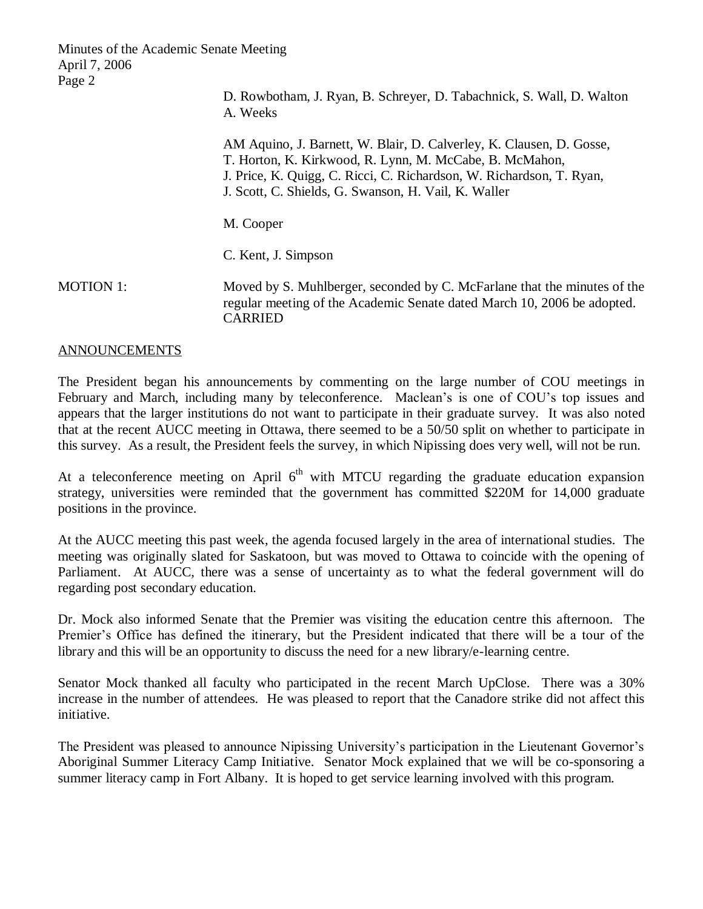> D. Rowbotham, J. Ryan, B. Schreyer, D. Tabachnick, S. Wall, D. Walton A. Weeks

AM Aquino, J. Barnett, W. Blair, D. Calverley, K. Clausen, D. Gosse, T. Horton, K. Kirkwood, R. Lynn, M. McCabe, B. McMahon, J. Price, K. Quigg, C. Ricci, C. Richardson, W. Richardson, T. Ryan, J. Scott, C. Shields, G. Swanson, H. Vail, K. Waller

M. Cooper

C. Kent, J. Simpson

MOTION 1: Moved by S. Muhlberger, seconded by C. McFarlane that the minutes of the regular meeting of the Academic Senate dated March 10, 2006 be adopted. CARRIED

### ANNOUNCEMENTS

The President began his announcements by commenting on the large number of COU meetings in February and March, including many by teleconference. Maclean's is one of COU's top issues and appears that the larger institutions do not want to participate in their graduate survey. It was also noted that at the recent AUCC meeting in Ottawa, there seemed to be a 50/50 split on whether to participate in this survey. As a result, the President feels the survey, in which Nipissing does very well, will not be run.

At a teleconference meeting on April  $6<sup>th</sup>$  with MTCU regarding the graduate education expansion strategy, universities were reminded that the government has committed \$220M for 14,000 graduate positions in the province.

At the AUCC meeting this past week, the agenda focused largely in the area of international studies. The meeting was originally slated for Saskatoon, but was moved to Ottawa to coincide with the opening of Parliament. At AUCC, there was a sense of uncertainty as to what the federal government will do regarding post secondary education.

Dr. Mock also informed Senate that the Premier was visiting the education centre this afternoon. The Premier's Office has defined the itinerary, but the President indicated that there will be a tour of the library and this will be an opportunity to discuss the need for a new library/e-learning centre.

Senator Mock thanked all faculty who participated in the recent March UpClose. There was a 30% increase in the number of attendees. He was pleased to report that the Canadore strike did not affect this initiative.

The President was pleased to announce Nipissing University's participation in the Lieutenant Governor's Aboriginal Summer Literacy Camp Initiative. Senator Mock explained that we will be co-sponsoring a summer literacy camp in Fort Albany. It is hoped to get service learning involved with this program.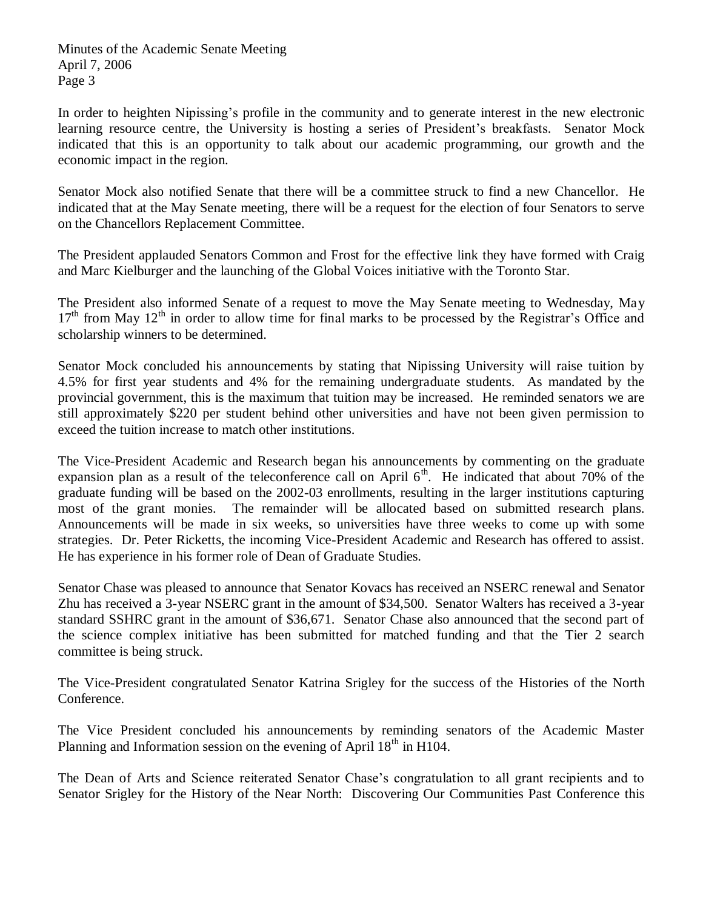In order to heighten Nipissing's profile in the community and to generate interest in the new electronic learning resource centre, the University is hosting a series of President's breakfasts. Senator Mock indicated that this is an opportunity to talk about our academic programming, our growth and the economic impact in the region.

Senator Mock also notified Senate that there will be a committee struck to find a new Chancellor. He indicated that at the May Senate meeting, there will be a request for the election of four Senators to serve on the Chancellors Replacement Committee.

The President applauded Senators Common and Frost for the effective link they have formed with Craig and Marc Kielburger and the launching of the Global Voices initiative with the Toronto Star.

The President also informed Senate of a request to move the May Senate meeting to Wednesday, May  $17<sup>th</sup>$  from May  $12<sup>th</sup>$  in order to allow time for final marks to be processed by the Registrar's Office and scholarship winners to be determined.

Senator Mock concluded his announcements by stating that Nipissing University will raise tuition by 4.5% for first year students and 4% for the remaining undergraduate students. As mandated by the provincial government, this is the maximum that tuition may be increased. He reminded senators we are still approximately \$220 per student behind other universities and have not been given permission to exceed the tuition increase to match other institutions.

The Vice-President Academic and Research began his announcements by commenting on the graduate expansion plan as a result of the teleconference call on April  $6<sup>th</sup>$ . He indicated that about 70% of the graduate funding will be based on the 2002-03 enrollments, resulting in the larger institutions capturing most of the grant monies. The remainder will be allocated based on submitted research plans. Announcements will be made in six weeks, so universities have three weeks to come up with some strategies. Dr. Peter Ricketts, the incoming Vice-President Academic and Research has offered to assist. He has experience in his former role of Dean of Graduate Studies.

Senator Chase was pleased to announce that Senator Kovacs has received an NSERC renewal and Senator Zhu has received a 3-year NSERC grant in the amount of \$34,500. Senator Walters has received a 3-year standard SSHRC grant in the amount of \$36,671. Senator Chase also announced that the second part of the science complex initiative has been submitted for matched funding and that the Tier 2 search committee is being struck.

The Vice-President congratulated Senator Katrina Srigley for the success of the Histories of the North Conference.

The Vice President concluded his announcements by reminding senators of the Academic Master Planning and Information session on the evening of April  $18<sup>th</sup>$  in H104.

The Dean of Arts and Science reiterated Senator Chase's congratulation to all grant recipients and to Senator Srigley for the History of the Near North: Discovering Our Communities Past Conference this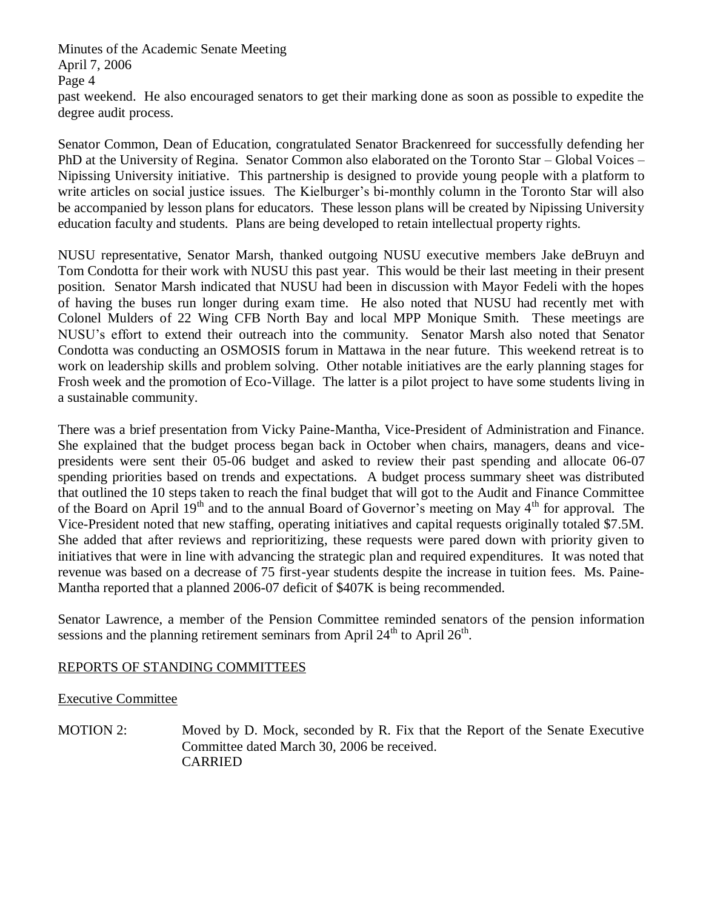Minutes of the Academic Senate Meeting April 7, 2006 Page 4 past weekend. He also encouraged senators to get their marking done as soon as possible to expedite the degree audit process.

Senator Common, Dean of Education, congratulated Senator Brackenreed for successfully defending her PhD at the University of Regina. Senator Common also elaborated on the Toronto Star – Global Voices – Nipissing University initiative. This partnership is designed to provide young people with a platform to write articles on social justice issues. The Kielburger's bi-monthly column in the Toronto Star will also be accompanied by lesson plans for educators. These lesson plans will be created by Nipissing University education faculty and students. Plans are being developed to retain intellectual property rights.

NUSU representative, Senator Marsh, thanked outgoing NUSU executive members Jake deBruyn and Tom Condotta for their work with NUSU this past year. This would be their last meeting in their present position. Senator Marsh indicated that NUSU had been in discussion with Mayor Fedeli with the hopes of having the buses run longer during exam time. He also noted that NUSU had recently met with Colonel Mulders of 22 Wing CFB North Bay and local MPP Monique Smith. These meetings are NUSU's effort to extend their outreach into the community. Senator Marsh also noted that Senator Condotta was conducting an OSMOSIS forum in Mattawa in the near future. This weekend retreat is to work on leadership skills and problem solving. Other notable initiatives are the early planning stages for Frosh week and the promotion of Eco-Village. The latter is a pilot project to have some students living in a sustainable community.

There was a brief presentation from Vicky Paine-Mantha, Vice-President of Administration and Finance. She explained that the budget process began back in October when chairs, managers, deans and vicepresidents were sent their 05-06 budget and asked to review their past spending and allocate 06-07 spending priorities based on trends and expectations. A budget process summary sheet was distributed that outlined the 10 steps taken to reach the final budget that will got to the Audit and Finance Committee of the Board on April 19<sup>th</sup> and to the annual Board of Governor's meeting on May 4<sup>th</sup> for approval. The Vice-President noted that new staffing, operating initiatives and capital requests originally totaled \$7.5M. She added that after reviews and reprioritizing, these requests were pared down with priority given to initiatives that were in line with advancing the strategic plan and required expenditures. It was noted that revenue was based on a decrease of 75 first-year students despite the increase in tuition fees. Ms. Paine-Mantha reported that a planned 2006-07 deficit of \$407K is being recommended.

Senator Lawrence, a member of the Pension Committee reminded senators of the pension information sessions and the planning retirement seminars from April  $24<sup>th</sup>$  to April  $26<sup>th</sup>$ .

### REPORTS OF STANDING COMMITTEES

### Executive Committee

MOTION 2: Moved by D. Mock, seconded by R. Fix that the Report of the Senate Executive Committee dated March 30, 2006 be received. CARRIED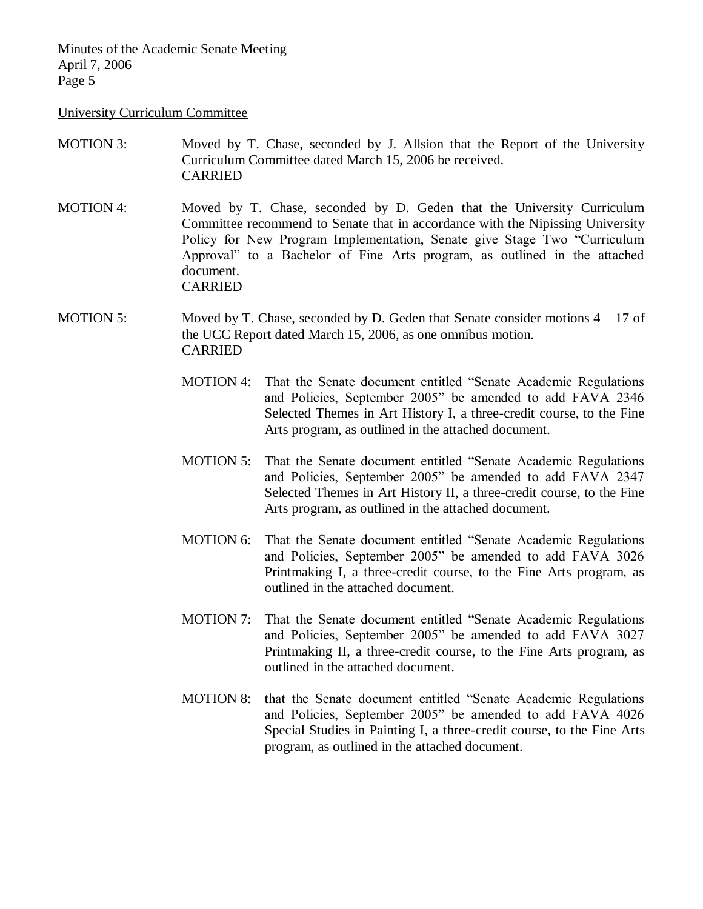#### University Curriculum Committee

- MOTION 3: Moved by T. Chase, seconded by J. Allsion that the Report of the University Curriculum Committee dated March 15, 2006 be received. CARRIED
- MOTION 4: Moved by T. Chase, seconded by D. Geden that the University Curriculum Committee recommend to Senate that in accordance with the Nipissing University Policy for New Program Implementation, Senate give Stage Two "Curriculum Approval" to a Bachelor of Fine Arts program, as outlined in the attached document. CARRIED
- MOTION 5: Moved by T. Chase, seconded by D. Geden that Senate consider motions  $4 17$  of the UCC Report dated March 15, 2006, as one omnibus motion. CARRIED
	- MOTION 4: That the Senate document entitled "Senate Academic Regulations and Policies, September 2005" be amended to add FAVA 2346 Selected Themes in Art History I, a three-credit course, to the Fine Arts program, as outlined in the attached document.
	- MOTION 5: That the Senate document entitled "Senate Academic Regulations and Policies, September 2005" be amended to add FAVA 2347 Selected Themes in Art History II, a three-credit course, to the Fine Arts program, as outlined in the attached document.
	- MOTION 6: That the Senate document entitled "Senate Academic Regulations and Policies, September 2005" be amended to add FAVA 3026 Printmaking I, a three-credit course, to the Fine Arts program, as outlined in the attached document.
	- MOTION 7: That the Senate document entitled "Senate Academic Regulations and Policies, September 2005" be amended to add FAVA 3027 Printmaking II, a three-credit course, to the Fine Arts program, as outlined in the attached document.
	- MOTION 8: that the Senate document entitled "Senate Academic Regulations and Policies, September 2005" be amended to add FAVA 4026 Special Studies in Painting I, a three-credit course, to the Fine Arts program, as outlined in the attached document.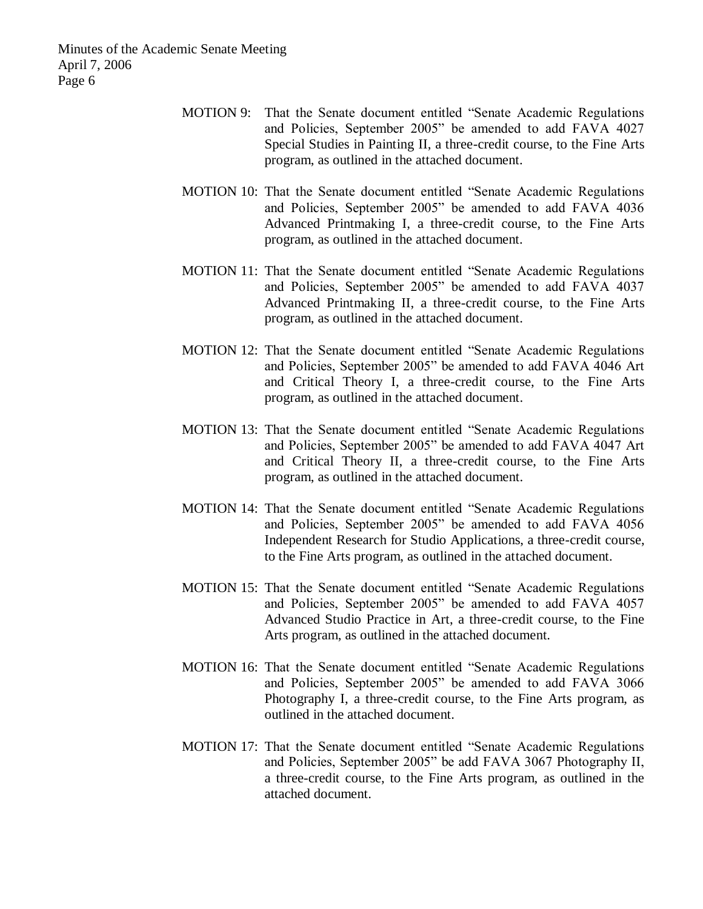- MOTION 9: That the Senate document entitled "Senate Academic Regulations and Policies, September 2005" be amended to add FAVA 4027 Special Studies in Painting II, a three-credit course, to the Fine Arts program, as outlined in the attached document.
- MOTION 10: That the Senate document entitled "Senate Academic Regulations and Policies, September 2005" be amended to add FAVA 4036 Advanced Printmaking I, a three-credit course, to the Fine Arts program, as outlined in the attached document.
- MOTION 11: That the Senate document entitled "Senate Academic Regulations and Policies, September 2005" be amended to add FAVA 4037 Advanced Printmaking II, a three-credit course, to the Fine Arts program, as outlined in the attached document.
- MOTION 12: That the Senate document entitled "Senate Academic Regulations and Policies, September 2005" be amended to add FAVA 4046 Art and Critical Theory I, a three-credit course, to the Fine Arts program, as outlined in the attached document.
- MOTION 13: That the Senate document entitled "Senate Academic Regulations and Policies, September 2005" be amended to add FAVA 4047 Art and Critical Theory II, a three-credit course, to the Fine Arts program, as outlined in the attached document.
- MOTION 14: That the Senate document entitled "Senate Academic Regulations and Policies, September 2005" be amended to add FAVA 4056 Independent Research for Studio Applications, a three-credit course, to the Fine Arts program, as outlined in the attached document.
- MOTION 15: That the Senate document entitled "Senate Academic Regulations and Policies, September 2005" be amended to add FAVA 4057 Advanced Studio Practice in Art, a three-credit course, to the Fine Arts program, as outlined in the attached document.
- MOTION 16: That the Senate document entitled "Senate Academic Regulations and Policies, September 2005" be amended to add FAVA 3066 Photography I, a three-credit course, to the Fine Arts program, as outlined in the attached document.
- MOTION 17: That the Senate document entitled "Senate Academic Regulations and Policies, September 2005" be add FAVA 3067 Photography II, a three-credit course, to the Fine Arts program, as outlined in the attached document.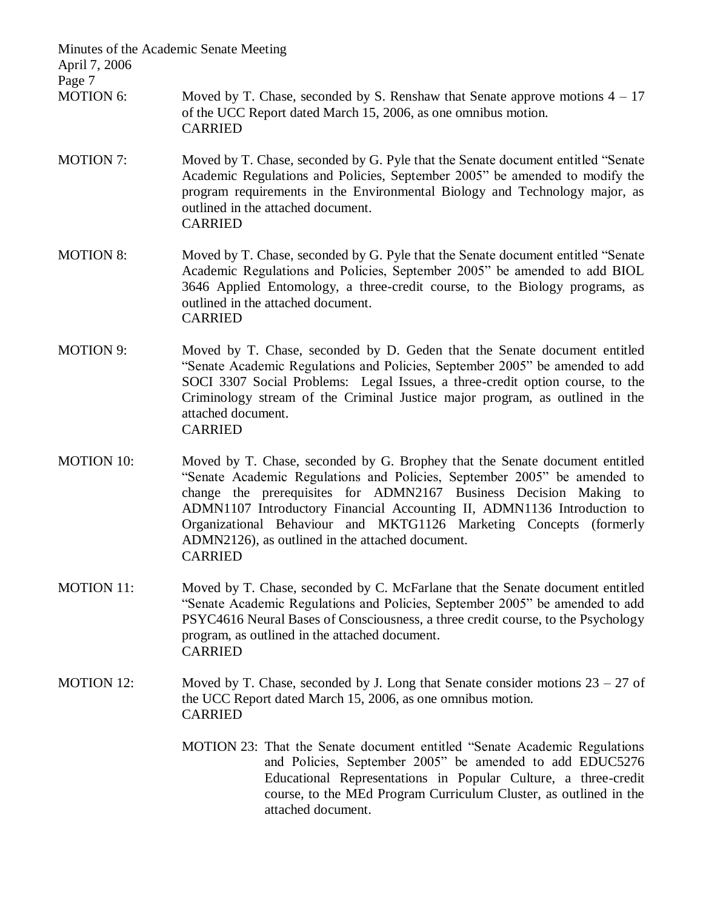| Minutes of the Academic Senate Meeting<br>April 7, 2006 |                                                                                                                                                                                                                                                                                                                                                                                                                                                     |
|---------------------------------------------------------|-----------------------------------------------------------------------------------------------------------------------------------------------------------------------------------------------------------------------------------------------------------------------------------------------------------------------------------------------------------------------------------------------------------------------------------------------------|
| Page 7<br><b>MOTION 6:</b>                              | Moved by T. Chase, seconded by S. Renshaw that Senate approve motions $4 - 17$<br>of the UCC Report dated March 15, 2006, as one omnibus motion.<br><b>CARRIED</b>                                                                                                                                                                                                                                                                                  |
| <b>MOTION 7:</b>                                        | Moved by T. Chase, seconded by G. Pyle that the Senate document entitled "Senate"<br>Academic Regulations and Policies, September 2005" be amended to modify the<br>program requirements in the Environmental Biology and Technology major, as<br>outlined in the attached document.<br><b>CARRIED</b>                                                                                                                                              |
| <b>MOTION 8:</b>                                        | Moved by T. Chase, seconded by G. Pyle that the Senate document entitled "Senate"<br>Academic Regulations and Policies, September 2005" be amended to add BIOL<br>3646 Applied Entomology, a three-credit course, to the Biology programs, as<br>outlined in the attached document.<br><b>CARRIED</b>                                                                                                                                               |
| <b>MOTION 9:</b>                                        | Moved by T. Chase, seconded by D. Geden that the Senate document entitled<br>"Senate Academic Regulations and Policies, September 2005" be amended to add<br>SOCI 3307 Social Problems: Legal Issues, a three-credit option course, to the<br>Criminology stream of the Criminal Justice major program, as outlined in the<br>attached document.<br><b>CARRIED</b>                                                                                  |
| <b>MOTION 10:</b>                                       | Moved by T. Chase, seconded by G. Brophey that the Senate document entitled<br>"Senate Academic Regulations and Policies, September 2005" be amended to<br>change the prerequisites for ADMN2167 Business Decision Making to<br>ADMN1107 Introductory Financial Accounting II, ADMN1136 Introduction to<br>Organizational Behaviour and MKTG1126 Marketing Concepts (formerly<br>ADMN2126), as outlined in the attached document.<br><b>CARRIED</b> |
| <b>MOTION 11:</b>                                       | Moved by T. Chase, seconded by C. McFarlane that the Senate document entitled<br>"Senate Academic Regulations and Policies, September 2005" be amended to add<br>PSYC4616 Neural Bases of Consciousness, a three credit course, to the Psychology<br>program, as outlined in the attached document.<br><b>CARRIED</b>                                                                                                                               |
| <b>MOTION 12:</b>                                       | Moved by T. Chase, seconded by J. Long that Senate consider motions $23 - 27$ of<br>the UCC Report dated March 15, 2006, as one omnibus motion.<br><b>CARRIED</b>                                                                                                                                                                                                                                                                                   |
|                                                         | MOTION 23: That the Senate document entitled "Senate Academic Regulations"<br>and Policies, September 2005" be amended to add EDUC5276<br>Educational Representations in Popular Culture, a three-credit<br>course, to the MEd Program Curriculum Cluster, as outlined in the<br>attached document.                                                                                                                                                 |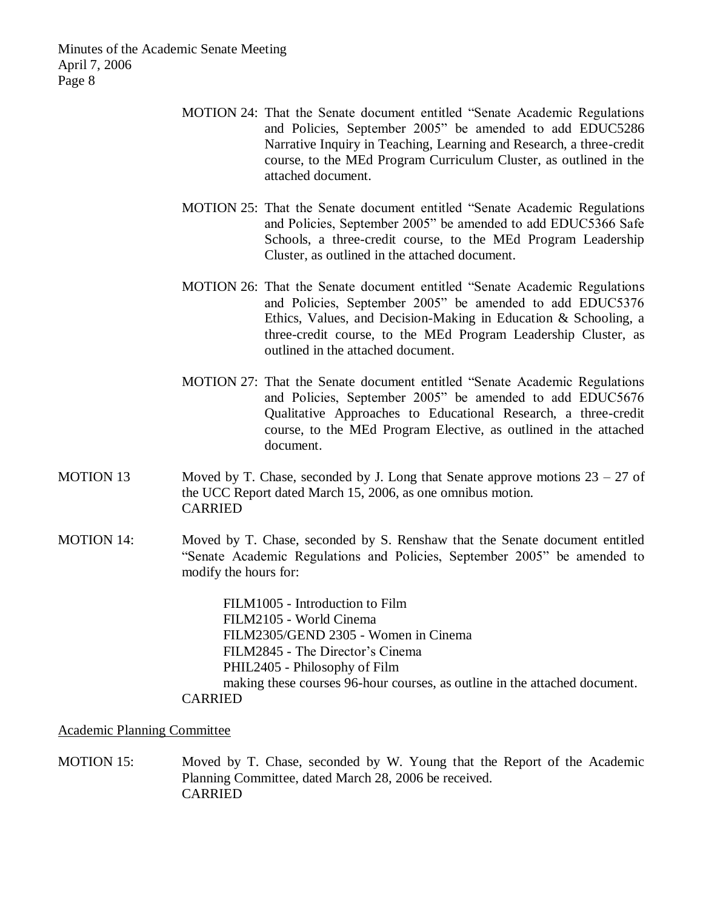- MOTION 24: That the Senate document entitled "Senate Academic Regulations and Policies, September 2005" be amended to add EDUC5286 Narrative Inquiry in Teaching, Learning and Research, a three-credit course, to the MEd Program Curriculum Cluster, as outlined in the attached document.
- MOTION 25: That the Senate document entitled "Senate Academic Regulations and Policies, September 2005" be amended to add EDUC5366 Safe Schools, a three-credit course, to the MEd Program Leadership Cluster, as outlined in the attached document.
- MOTION 26: That the Senate document entitled "Senate Academic Regulations and Policies, September 2005" be amended to add EDUC5376 Ethics, Values, and Decision-Making in Education & Schooling, a three-credit course, to the MEd Program Leadership Cluster, as outlined in the attached document.
- MOTION 27: That the Senate document entitled "Senate Academic Regulations and Policies, September 2005" be amended to add EDUC5676 Qualitative Approaches to Educational Research, a three-credit course, to the MEd Program Elective, as outlined in the attached document.
- MOTION 13 Moved by T. Chase, seconded by J. Long that Senate approve motions  $23 27$  of the UCC Report dated March 15, 2006, as one omnibus motion. CARRIED
- MOTION 14: Moved by T. Chase, seconded by S. Renshaw that the Senate document entitled "Senate Academic Regulations and Policies, September 2005" be amended to modify the hours for:

FILM1005 - Introduction to Film FILM2105 - World Cinema FILM2305/GEND 2305 - Women in Cinema FILM2845 - The Director's Cinema PHIL2405 - Philosophy of Film making these courses 96-hour courses, as outline in the attached document. CARRIED

Academic Planning Committee

MOTION 15: Moved by T. Chase, seconded by W. Young that the Report of the Academic Planning Committee, dated March 28, 2006 be received. CARRIED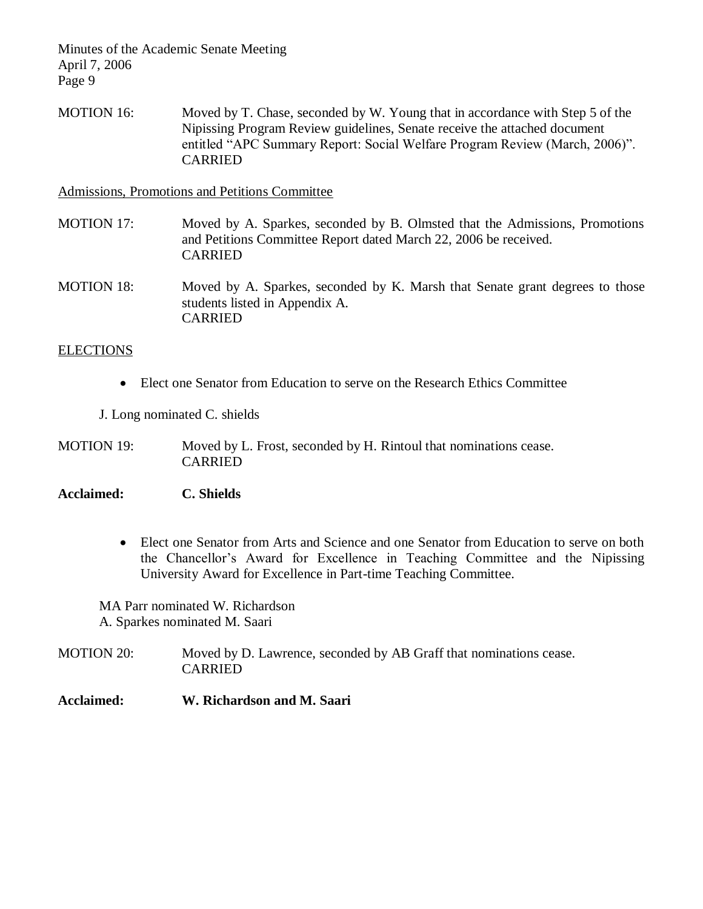MOTION 16: Moved by T. Chase, seconded by W. Young that in accordance with Step 5 of the Nipissing Program Review guidelines, Senate receive the attached document entitled "APC Summary Report: Social Welfare Program Review (March, 2006)". CARRIED

Admissions, Promotions and Petitions Committee

- MOTION 17: Moved by A. Sparkes, seconded by B. Olmsted that the Admissions, Promotions and Petitions Committee Report dated March 22, 2006 be received. CARRIED
- MOTION 18: Moved by A. Sparkes, seconded by K. Marsh that Senate grant degrees to those students listed in Appendix A. CARRIED

### **ELECTIONS**

Elect one Senator from Education to serve on the Research Ethics Committee

J. Long nominated C. shields

MOTION 19: Moved by L. Frost, seconded by H. Rintoul that nominations cease. CARRIED

**Acclaimed: C. Shields**

 Elect one Senator from Arts and Science and one Senator from Education to serve on both the Chancellor's Award for Excellence in Teaching Committee and the Nipissing University Award for Excellence in Part-time Teaching Committee.

MA Parr nominated W. Richardson A. Sparkes nominated M. Saari

MOTION 20: Moved by D. Lawrence, seconded by AB Graff that nominations cease. CARRIED

### **Acclaimed: W. Richardson and M. Saari**